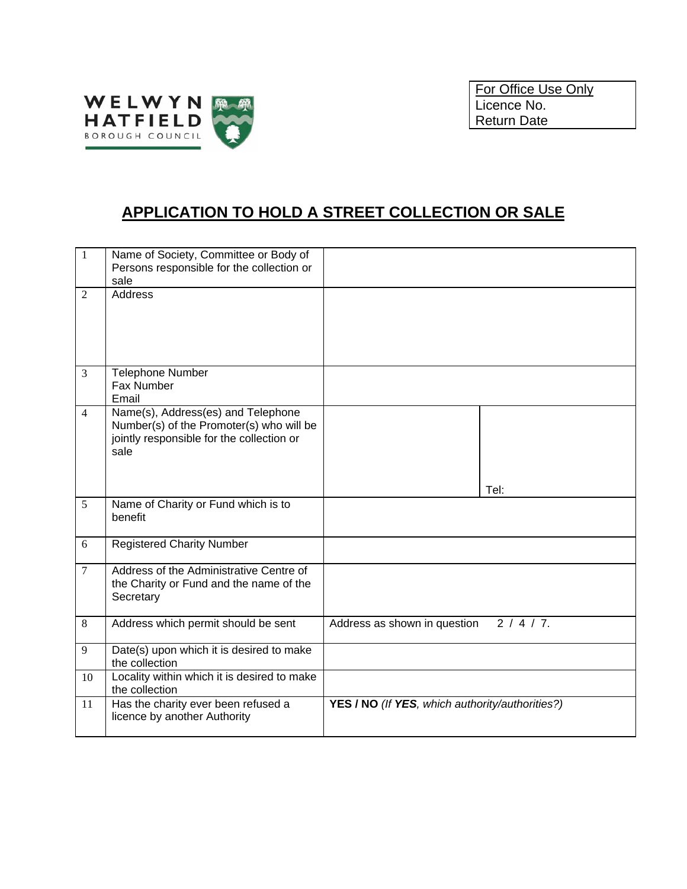

## **APPLICATION TO HOLD A STREET COLLECTION OR SALE**

| $\mathbf{1}$   | Name of Society, Committee or Body of<br>Persons responsible for the collection or<br>sale                                          |                                                 |
|----------------|-------------------------------------------------------------------------------------------------------------------------------------|-------------------------------------------------|
| $\overline{2}$ | <b>Address</b>                                                                                                                      |                                                 |
| 3              | <b>Telephone Number</b><br>Fax Number<br>Email                                                                                      |                                                 |
| $\overline{4}$ | Name(s), Address(es) and Telephone<br>Number(s) of the Promoter(s) who will be<br>jointly responsible for the collection or<br>sale | Tel:                                            |
| 5              | Name of Charity or Fund which is to<br>benefit                                                                                      |                                                 |
| 6              | <b>Registered Charity Number</b>                                                                                                    |                                                 |
| $\tau$         | Address of the Administrative Centre of<br>the Charity or Fund and the name of the<br>Secretary                                     |                                                 |
| 8              | Address which permit should be sent                                                                                                 | $2/4/7$ .<br>Address as shown in question       |
| 9              | Date(s) upon which it is desired to make<br>the collection                                                                          |                                                 |
| 10             | Locality within which it is desired to make<br>the collection                                                                       |                                                 |
| 11             | Has the charity ever been refused a<br>licence by another Authority                                                                 | YES / NO (If YES, which authority/authorities?) |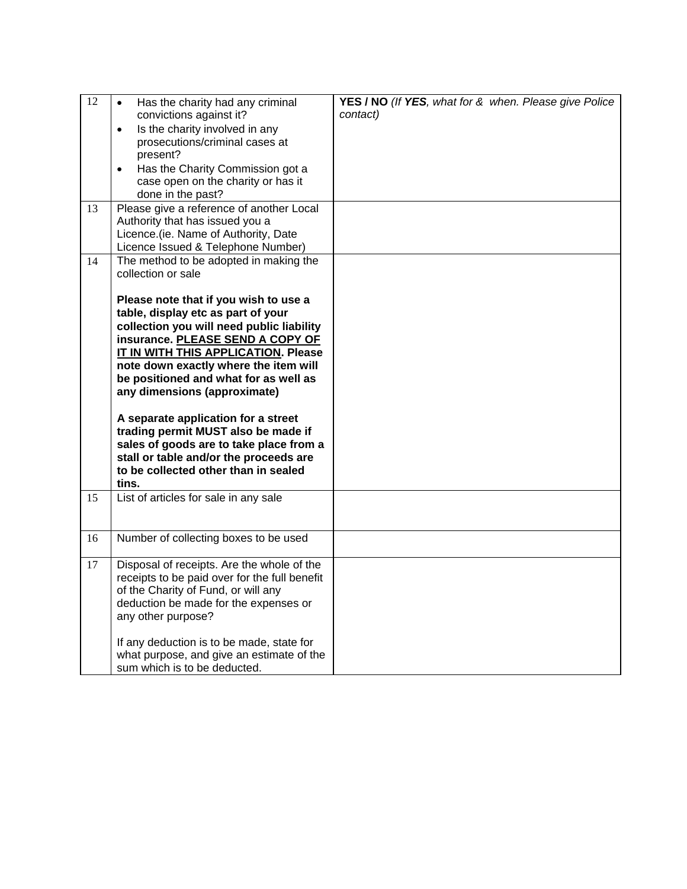| 12 | Has the charity had any criminal<br>$\bullet$<br>convictions against it?<br>Is the charity involved in any<br>$\bullet$<br>prosecutions/criminal cases at<br>present?<br>Has the Charity Commission got a<br>$\bullet$<br>case open on the charity or has it<br>done in the past?                                                                                                                                                                                                                                                                                                                         | YES / NO (If YES, what for & when. Please give Police<br>contact) |
|----|-----------------------------------------------------------------------------------------------------------------------------------------------------------------------------------------------------------------------------------------------------------------------------------------------------------------------------------------------------------------------------------------------------------------------------------------------------------------------------------------------------------------------------------------------------------------------------------------------------------|-------------------------------------------------------------------|
| 13 | Please give a reference of another Local<br>Authority that has issued you a<br>Licence.(ie. Name of Authority, Date<br>Licence Issued & Telephone Number)                                                                                                                                                                                                                                                                                                                                                                                                                                                 |                                                                   |
| 14 | The method to be adopted in making the<br>collection or sale<br>Please note that if you wish to use a<br>table, display etc as part of your<br>collection you will need public liability<br>insurance. PLEASE SEND A COPY OF<br>IT IN WITH THIS APPLICATION. Please<br>note down exactly where the item will<br>be positioned and what for as well as<br>any dimensions (approximate)<br>A separate application for a street<br>trading permit MUST also be made if<br>sales of goods are to take place from a<br>stall or table and/or the proceeds are<br>to be collected other than in sealed<br>tins. |                                                                   |
| 15 | List of articles for sale in any sale                                                                                                                                                                                                                                                                                                                                                                                                                                                                                                                                                                     |                                                                   |
| 16 | Number of collecting boxes to be used                                                                                                                                                                                                                                                                                                                                                                                                                                                                                                                                                                     |                                                                   |
| 17 | Disposal of receipts. Are the whole of the<br>receipts to be paid over for the full benefit<br>of the Charity of Fund, or will any<br>deduction be made for the expenses or<br>any other purpose?<br>If any deduction is to be made, state for<br>what purpose, and give an estimate of the<br>sum which is to be deducted.                                                                                                                                                                                                                                                                               |                                                                   |